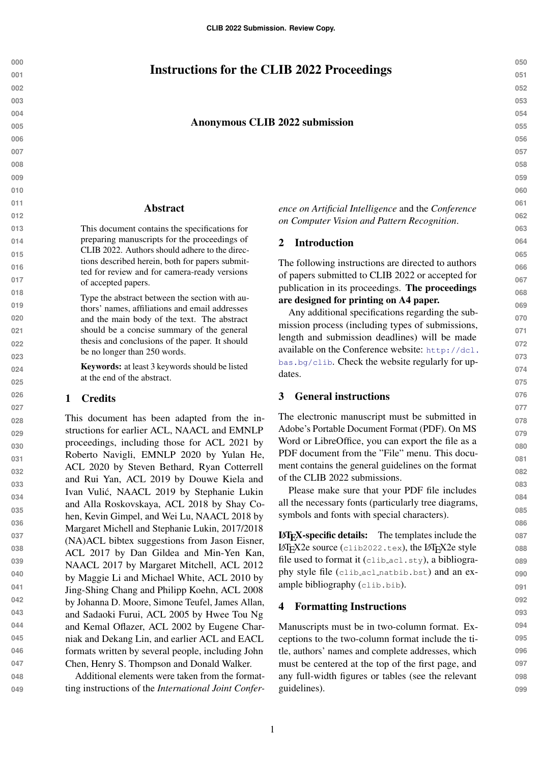# Instructions for the CLIB 2022 Proceedings

#### Anonymous CLIB 2022 submission

#### Abstract

This document contains the specifications for preparing manuscripts for the proceedings of CLIB 2022. Authors should adhere to the directions described herein, both for papers submitted for review and for camera-ready versions of accepted papers.

> Type the abstract between the section with authors' names, affiliations and email addresses and the main body of the text. The abstract should be a concise summary of the general thesis and conclusions of the paper. It should be no longer than 250 words.

Keywords: at least 3 keywords should be listed at the end of the abstract.

#### 1 Credits

This document has been adapted from the instructions for earlier ACL, NAACL and EMNLP proceedings, including those for ACL 2021 by Roberto Navigli, EMNLP 2020 by Yulan He, ACL 2020 by Steven Bethard, Ryan Cotterrell and Rui Yan, ACL 2019 by Douwe Kiela and Ivan Vulic, NAACL 2019 by Stephanie Lukin ´ and Alla Roskovskaya, ACL 2018 by Shay Cohen, Kevin Gimpel, and Wei Lu, NAACL 2018 by Margaret Michell and Stephanie Lukin, 2017/2018 (NA)ACL bibtex suggestions from Jason Eisner, ACL 2017 by Dan Gildea and Min-Yen Kan, NAACL 2017 by Margaret Mitchell, ACL 2012 by Maggie Li and Michael White, ACL 2010 by Jing-Shing Chang and Philipp Koehn, ACL 2008 by Johanna D. Moore, Simone Teufel, James Allan, and Sadaoki Furui, ACL 2005 by Hwee Tou Ng and Kemal Oflazer, ACL 2002 by Eugene Charniak and Dekang Lin, and earlier ACL and EACL formats written by several people, including John Chen, Henry S. Thompson and Donald Walker.

Additional elements were taken from the formatting instructions of the *International Joint Confer-* *ence on Artificial Intelligence* and the *Conference on Computer Vision and Pattern Recognition*.

#### 2 Introduction

The following instructions are directed to authors of papers submitted to CLIB 2022 or accepted for publication in its proceedings. The proceedings are designed for printing on A4 paper.

Any additional specifications regarding the submission process (including types of submissions, length and submission deadlines) will be made available on the Conference website: [http://dcl.](http://dcl.bas.bg/clib) [bas.bg/clib](http://dcl.bas.bg/clib). Check the website regularly for updates.

#### 3 General instructions

The electronic manuscript must be submitted in Adobe's Portable Document Format (PDF). On MS Word or LibreOffice, you can export the file as a PDF document from the "File" menu. This document contains the general guidelines on the format of the CLIB 2022 submissions.

Please make sure that your PDF file includes all the necessary fonts (particularly tree diagrams, symbols and fonts with special characters).

LATEX-specific details: The templates include the LATEX2e source  $(clib2022.tex)$ , the LATEX2e style file used to format it (clib acl.sty), a bibliography style file (clib acl natbib.bst) and an example bibliography (clib.bib).

#### 4 Formatting Instructions

Manuscripts must be in two-column format. Exceptions to the two-column format include the title, authors' names and complete addresses, which must be centered at the top of the first page, and any full-width figures or tables (see the relevant guidelines).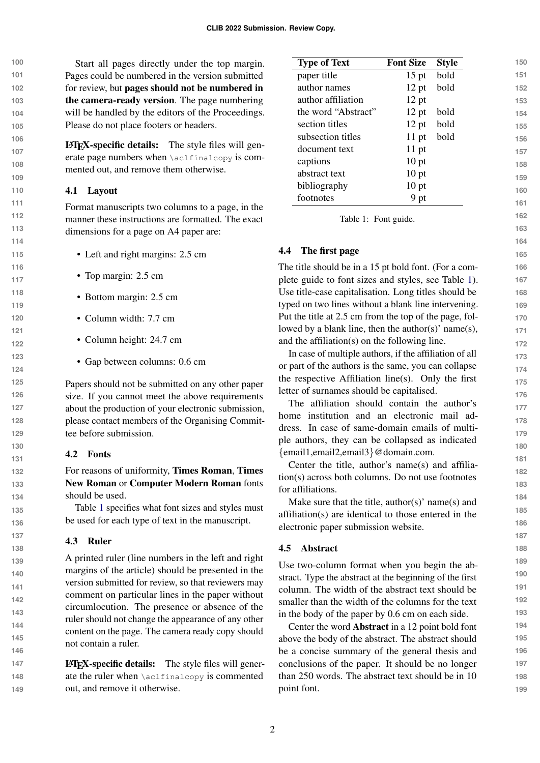**100 101 102 103 104 105** Start all pages directly under the top margin. Pages could be numbered in the version submitted for review, but pages should not be numbered in the camera-ready version. The page numbering will be handled by the editors of the Proceedings. Please do not place footers or headers.

> $\text{LAT}_{\text{F}}$ X-specific details: The style files will generate page numbers when \aclfinalcopy is commented out, and remove them otherwise.

### 4.1 Layout

Format manuscripts two columns to a page, in the manner these instructions are formatted. The exact dimensions for a page on A4 paper are:

- Left and right margins: 2.5 cm
- Top margin: 2.5 cm
- Bottom margin: 2.5 cm
- Column width: 7.7 cm
- Column height: 24.7 cm
- Gap between columns: 0.6 cm

Papers should not be submitted on any other paper size. If you cannot meet the above requirements about the production of your electronic submission, please contact members of the Organising Committee before submission.

## 4.2 Fonts

For reasons of uniformity, Times Roman, Times New Roman or Computer Modern Roman fonts should be used.

Table [1](#page-1-0) specifies what font sizes and styles must be used for each type of text in the manuscript.

## 4.3 Ruler

A printed ruler (line numbers in the left and right margins of the article) should be presented in the version submitted for review, so that reviewers may comment on particular lines in the paper without circumlocution. The presence or absence of the ruler should not change the appearance of any other content on the page. The camera ready copy should not contain a ruler.

**147 148 149** LATEX-specific details: The style files will generate the ruler when \aclfinalcopy is commented out, and remove it otherwise.

<span id="page-1-0"></span>

| <b>Type of Text</b> | <b>Font Size</b> | <b>Style</b> |
|---------------------|------------------|--------------|
| paper title         | $15$ pt          | bold         |
| author names        | $12$ pt          | bold         |
| author affiliation  | $12$ pt          |              |
| the word "Abstract" | $12$ pt          | bold         |
| section titles      | $12$ pt          | bold         |
| subsection titles   | $11$ pt          | bold         |
| document text       | $11$ pt          |              |
| captions            | $10$ pt          |              |
| abstract text       | $10$ pt          |              |
| bibliography        | $10$ pt          |              |
| footnotes           | 9 pt             |              |

Table 1: Font guide.

## 4.4 The first page

The title should be in a 15 pt bold font. (For a complete guide to font sizes and styles, see Table [1\)](#page-1-0). Use title-case capitalisation. Long titles should be typed on two lines without a blank line intervening. Put the title at 2.5 cm from the top of the page, followed by a blank line, then the author(s)' name(s), and the affiliation(s) on the following line.

In case of multiple authors, if the affiliation of all or part of the authors is the same, you can collapse the respective Affiliation line(s). Only the first letter of surnames should be capitalised.

The affiliation should contain the author's home institution and an electronic mail address. In case of same-domain emails of multiple authors, they can be collapsed as indicated {email1,email2,email3}@domain.com.

Center the title, author's name(s) and affiliation(s) across both columns. Do not use footnotes for affiliations.

Make sure that the title, author(s)' name(s) and affiliation(s) are identical to those entered in the electronic paper submission website.

## 4.5 Abstract

Use two-column format when you begin the abstract. Type the abstract at the beginning of the first column. The width of the abstract text should be smaller than the width of the columns for the text in the body of the paper by 0.6 cm on each side.

Center the word Abstract in a 12 point bold font above the body of the abstract. The abstract should be a concise summary of the general thesis and conclusions of the paper. It should be no longer than 250 words. The abstract text should be in 10 point font.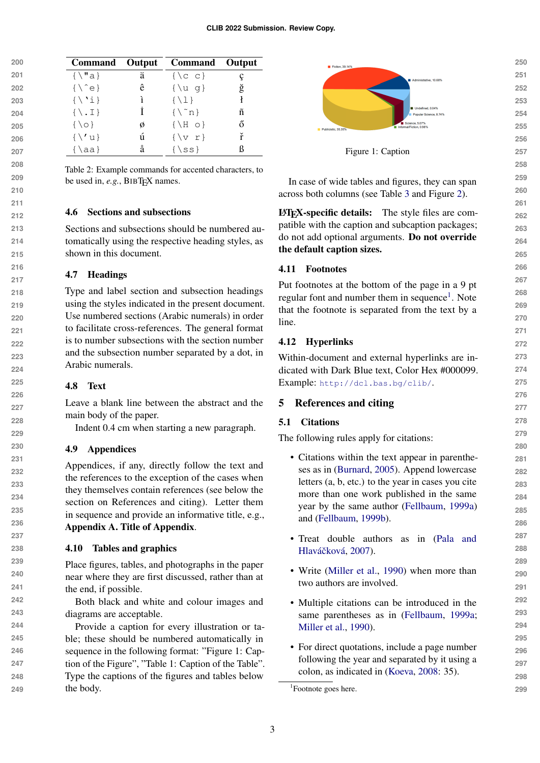| 200 | Command Output           |   | <b>Command</b>       | Output |
|-----|--------------------------|---|----------------------|--------|
| 201 | $\{\ \mathbf{u} \}$      | ä | $\{\setminus c\ c\}$ |        |
| 202 | $\{\ \hat{e}\}$          | ê | $\{\ u q\}$          | ğ      |
| 203 | $\{\ \'i\}$              |   | $\{\ \{1\}\$         |        |
| 204 | $\{\ \setminus \ \bot\}$ |   | $\{\n\^n n\}$        | ñ      |
| 205 | $\{\setminus \circ\}$    | Ø | $\{\ H \circ\}$      | ő      |
| 206 | $\{\setminus\prime\}$    | ú | $\{v r\}$            | ř      |
| 207 | $\{\lambda a\}$          | å | $\{$ ss}             | ß      |

Table 2: Example commands for accented characters, to be used in, *e.g.*, BIBT<sub>E</sub>X names.

### 4.6 Sections and subsections

Sections and subsections should be numbered automatically using the respective heading styles, as shown in this document.

### 4.7 Headings

Type and label section and subsection headings using the styles indicated in the present document. Use numbered sections (Arabic numerals) in order to facilitate cross-references. The general format is to number subsections with the section number and the subsection number separated by a dot, in Arabic numerals.

#### 4.8 Text

Leave a blank line between the abstract and the main body of the paper.

Indent 0.4 cm when starting a new paragraph.

#### 4.9 Appendices

Appendices, if any, directly follow the text and the references to the exception of the cases when they themselves contain references (see below the section on References and citing). Letter them in sequence and provide an informative title, e.g., Appendix A. Title of Appendix.

#### 4.10 Tables and graphics

Place figures, tables, and photographs in the paper near where they are first discussed, rather than at the end, if possible.

Both black and white and colour images and diagrams are acceptable.

Provide a caption for every illustration or table; these should be numbered automatically in sequence in the following format: "Figure 1: Caption of the Figure", "Table 1: Caption of the Table". Type the captions of the figures and tables below the body.



Figure 1: Caption

In case of wide tables and figures, they can span across both columns (see Table [3](#page-3-0) and Figure [2\)](#page-3-1).

LATEX-specific details: The style files are compatible with the caption and subcaption packages; do not add optional arguments. Do not override the default caption sizes.

#### 4.11 Footnotes

Put footnotes at the bottom of the page in a 9 pt regular font and number them in sequence<sup>[1](#page-2-0)</sup>. Note that the footnote is separated from the text by a line.

#### 4.12 Hyperlinks

Within-document and external hyperlinks are indicated with Dark Blue text, Color Hex #000099. Example: <http://dcl.bas.bg/clib/>.

#### 5 References and citing

#### 5.1 Citations

The following rules apply for citations:

- Citations within the text appear in parentheses as in [\(Burnard,](#page-4-0) [2005\)](#page-4-0). Append lowercase letters (a, b, etc.) to the year in cases you cite more than one work published in the same year by the same author [\(Fellbaum,](#page-4-1) [1999a\)](#page-4-1) and [\(Fellbaum,](#page-4-2) [1999b\)](#page-4-2).
- Treat double authors as in [\(Pala and](#page-4-3) Hlaváčková, [2007\)](#page-4-3).
- Write [\(Miller et al.,](#page-4-4) [1990\)](#page-4-4) when more than two authors are involved.
- Multiple citations can be introduced in the same parentheses as in [\(Fellbaum,](#page-4-1) [1999a;](#page-4-1) [Miller et al.,](#page-4-4) [1990\)](#page-4-4).
- For direct quotations, include a page number following the year and separated by it using a colon, as indicated in [\(Koeva,](#page-4-5) [2008:](#page-4-5) 35).

**250**

<span id="page-2-0"></span><sup>&</sup>lt;sup>1</sup>Footnote goes here.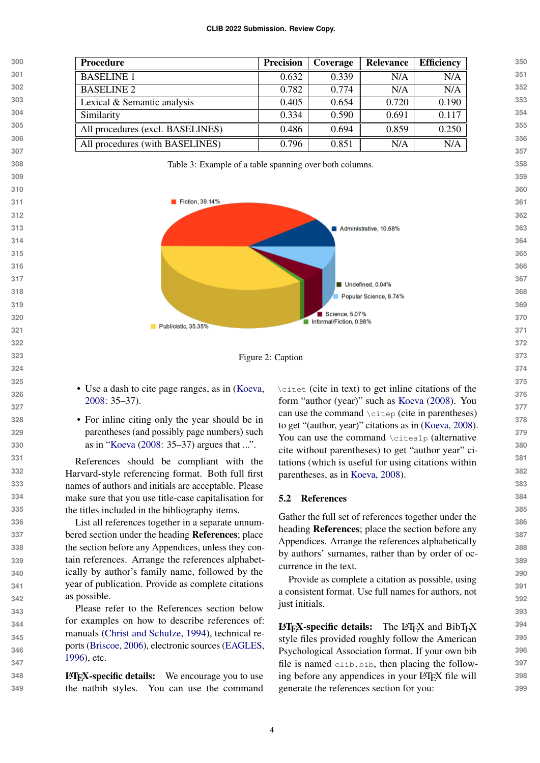<span id="page-3-1"></span><span id="page-3-0"></span>

Figure 2: Caption

• Use a dash to cite page ranges, as in [\(Koeva,](#page-4-5) [2008:](#page-4-5) 35–37).

• For inline citing only the year should be in parentheses (and possibly page numbers) such as in ["Koeva](#page-4-5) [\(2008:](#page-4-5) 35–37) argues that ...".

References should be compliant with the Harvard-style referencing format. Both full first names of authors and initials are acceptable. Please make sure that you use title-case capitalisation for the titles included in the bibliography items.

List all references together in a separate unnumbered section under the heading References; place the section before any Appendices, unless they contain references. Arrange the references alphabetically by author's family name, followed by the year of publication. Provide as complete citations as possible.

Please refer to the References section below for examples on how to describe references of: manuals [\(Christ and Schulze,](#page-4-6) [1994\)](#page-4-6), technical reports [\(Briscoe,](#page-4-7) [2006\)](#page-4-7), electronic sources [\(EAGLES,](#page-4-8) [1996\)](#page-4-8), etc.

 LATEX-specific details: We encourage you to use the natbib styles. You can use the command

\citet (cite in text) to get inline citations of the form "author (year)" such as [Koeva](#page-4-5) [\(2008\)](#page-4-5). You can use the command \citep (cite in parentheses) to get "(author, year)" citations as in [\(Koeva,](#page-4-5) [2008\)](#page-4-5). You can use the command \citealp (alternative cite without parentheses) to get "author year" citations (which is useful for using citations within parentheses, as in [Koeva,](#page-4-5) [2008\)](#page-4-5).

### 5.2 References

Gather the full set of references together under the heading References; place the section before any Appendices. Arrange the references alphabetically by authors' surnames, rather than by order of occurrence in the text.

Provide as complete a citation as possible, using a consistent format. Use full names for authors, not just initials.

LATEX-specific details: The LATEX and BibTEX style files provided roughly follow the American Psychological Association format. If your own bib file is named clib.bib, then placing the following before any appendices in your LAT<sub>E</sub>X file will generate the references section for you: